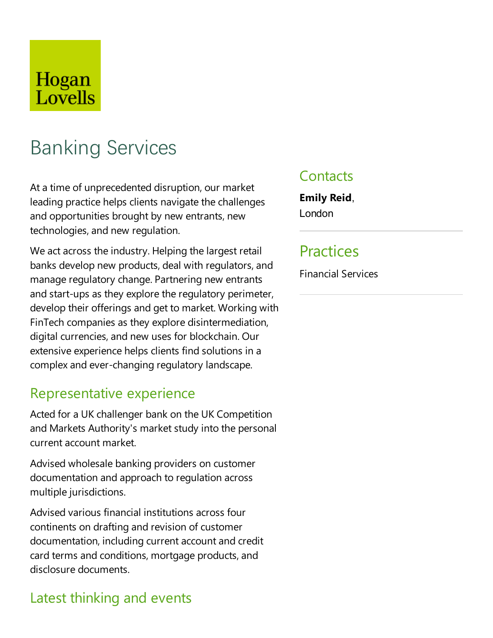## Hogan Lovells

# Banking Services

At a time of unprecedented disruption, our market leading practice helps clients navigate the challenges and opportunities brought by new entrants, new technologies, and new regulation.

We act across the industry. Helping the largest retail banks develop new products, deal with regulators, and manage regulatory change. Partnering new entrants and start-ups as they explore the regulatory perimeter, develop their offerings and get to market. Working with FinTech companies as they explore disintermediation, digital currencies,and new uses for blockchain. Our extensive experience helps clients find solutions in a complex and ever-changing regulatory landscape.

## Representative experience

Acted for a UK challenger bank on the UK Competition and Markets Authority's market study into the personal current account market.

Advised wholesale banking providers on customer documentation and approach to regulation across multiple jurisdictions.

Advised various financial institutions across four continents on drafting and revision of customer documentation, including current account and credit card terms and conditions, mortgage products, and disclosure documents.

## Latest thinking and events

## **Contacts**

**Emily Reid**, London

## Practices

Financial Services